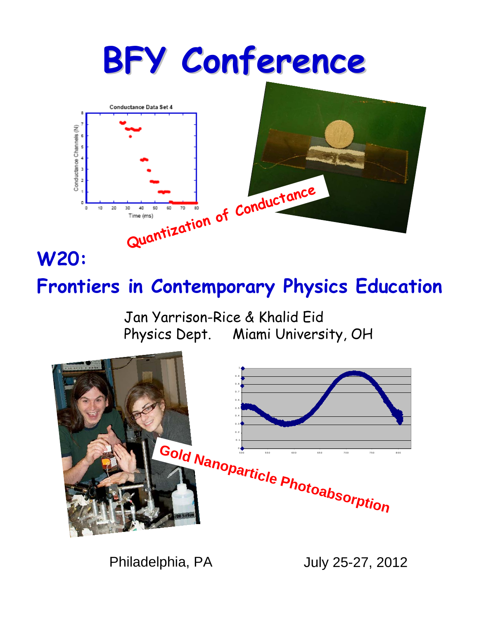

# **Frontiers in Contemporary Physics Education**

Jan Yarrison-Rice & Khalid Eid Physics Dept. Miami University, OH



Philadelphia, PA July 25-27, 2012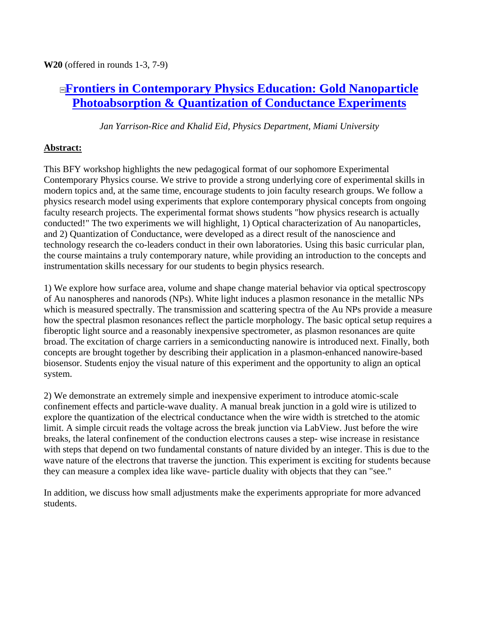**W20** (offered in rounds 1-3, 7-9)

## **Frontiers in Contemporary Physics Education: Gold Nanoparticle Photoabsorption & Quantization of Conductance Experiments**

*Jan Yarrison-Rice and Khalid Eid, Physics Department, Miami University*

#### **Abstract:**

This BFY workshop highlights the new pedagogical format of our sophomore Experimental Contemporary Physics course. We strive to provide a strong underlying core of experimental skills in modern topics and, at the same time, encourage students to join faculty research groups. We follow a physics research model using experiments that explore contemporary physical concepts from ongoing faculty research projects. The experimental format shows students "how physics research is actually conducted!" The two experiments we will highlight, 1) Optical characterization of Au nanoparticles, and 2) Quantization of Conductance, were developed as a direct result of the nanoscience and technology research the co-leaders conduct in their own laboratories. Using this basic curricular plan, the course maintains a truly contemporary nature, while providing an introduction to the concepts and instrumentation skills necessary for our students to begin physics research.

1) We explore how surface area, volume and shape change material behavior via optical spectroscopy of Au nanospheres and nanorods (NPs). White light induces a plasmon resonance in the metallic NPs which is measured spectrally. The transmission and scattering spectra of the Au NPs provide a measure how the spectral plasmon resonances reflect the particle morphology. The basic optical setup requires a fiberoptic light source and a reasonably inexpensive spectrometer, as plasmon resonances are quite broad. The excitation of charge carriers in a semiconducting nanowire is introduced next. Finally, both concepts are brought together by describing their application in a plasmon-enhanced nanowire-based biosensor. Students enjoy the visual nature of this experiment and the opportunity to align an optical system.

2) We demonstrate an extremely simple and inexpensive experiment to introduce atomic-scale confinement effects and particle-wave duality. A manual break junction in a gold wire is utilized to explore the quantization of the electrical conductance when the wire width is stretched to the atomic limit. A simple circuit reads the voltage across the break junction via LabView. Just before the wire breaks, the lateral confinement of the conduction electrons causes a step- wise increase in resistance with steps that depend on two fundamental constants of nature divided by an integer. This is due to the wave nature of the electrons that traverse the junction. This experiment is exciting for students because they can measure a complex idea like wave- particle duality with objects that they can "see."

In addition, we discuss how small adjustments make the experiments appropriate for more advanced students.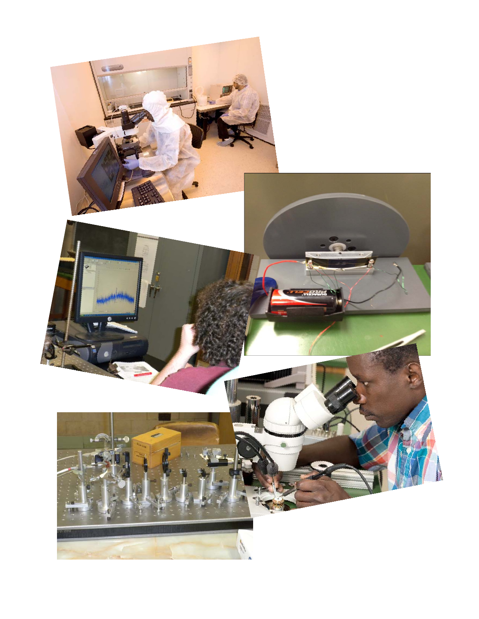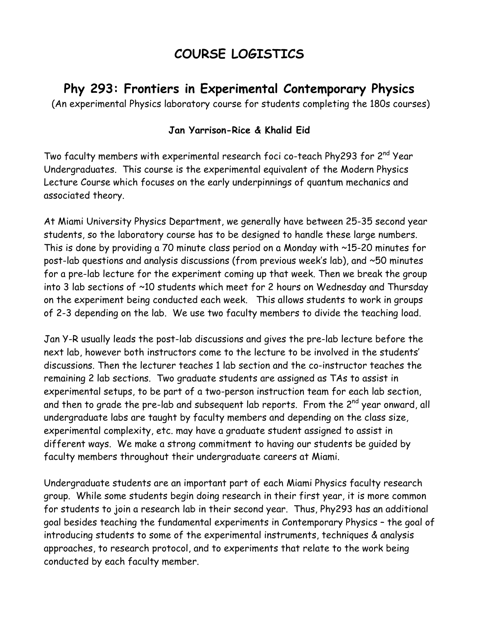# **COURSE LOGISTICS**

# **Phy 293: Frontiers in Experimental Contemporary Physics**

(An experimental Physics laboratory course for students completing the 180s courses)

#### **Jan Yarrison-Rice & Khalid Eid**

Two faculty members with experimental research foci co-teach Phy293 for 2<sup>nd</sup> Year Undergraduates. This course is the experimental equivalent of the Modern Physics Lecture Course which focuses on the early underpinnings of quantum mechanics and associated theory.

At Miami University Physics Department, we generally have between 25-35 second year students, so the laboratory course has to be designed to handle these large numbers. This is done by providing a 70 minute class period on a Monday with ~15-20 minutes for post-lab questions and analysis discussions (from previous week's lab), and ~50 minutes for a pre-lab lecture for the experiment coming up that week. Then we break the group into 3 lab sections of ~10 students which meet for 2 hours on Wednesday and Thursday on the experiment being conducted each week. This allows students to work in groups of 2-3 depending on the lab. We use two faculty members to divide the teaching load.

Jan Y-R usually leads the post-lab discussions and gives the pre-lab lecture before the next lab, however both instructors come to the lecture to be involved in the students' discussions. Then the lecturer teaches 1 lab section and the co-instructor teaches the remaining 2 lab sections. Two graduate students are assigned as TAs to assist in experimental setups, to be part of a two-person instruction team for each lab section, and then to grade the pre-lab and subsequent lab reports. From the 2<sup>nd</sup> year onward, all undergraduate labs are taught by faculty members and depending on the class size, experimental complexity, etc. may have a graduate student assigned to assist in different ways. We make a strong commitment to having our students be guided by faculty members throughout their undergraduate careers at Miami.

Undergraduate students are an important part of each Miami Physics faculty research group. While some students begin doing research in their first year, it is more common for students to join a research lab in their second year. Thus, Phy293 has an additional goal besides teaching the fundamental experiments in Contemporary Physics – the goal of introducing students to some of the experimental instruments, techniques & analysis approaches, to research protocol, and to experiments that relate to the work being conducted by each faculty member.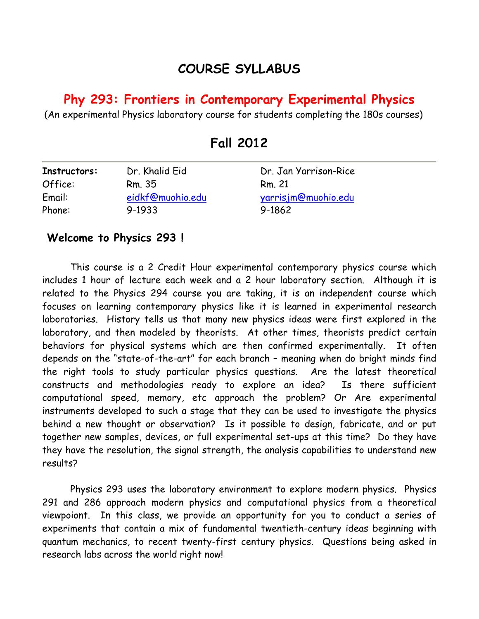# **COURSE SYLLABUS**

# **Phy 293: Frontiers in Contemporary Experimental Physics**

(An experimental Physics laboratory course for students completing the 180s courses)

# **Fall 2012**

| Instructors: | Dr. Khalid Eid   | Dr. Jan Yarrison-Rice |
|--------------|------------------|-----------------------|
| Office:      | Rm. 35           | Rm. 21                |
| Email:       | eidkf@muohio.edu | yarrisjm@muohio.edu   |
| Phone:       | 9-1933           | 9-1862                |

#### **Welcome to Physics 293 !**

 This course is a 2 Credit Hour experimental contemporary physics course which includes 1 hour of lecture each week and a 2 hour laboratory section. Although it is related to the Physics 294 course you are taking, it is an independent course which focuses on learning contemporary physics like it is learned in experimental research laboratories. History tells us that many new physics ideas were first explored in the laboratory, and then modeled by theorists. At other times, theorists predict certain behaviors for physical systems which are then confirmed experimentally. It often depends on the "state-of-the-art" for each branch – meaning when do bright minds find the right tools to study particular physics questions. Are the latest theoretical constructs and methodologies ready to explore an idea? Is there sufficient computational speed, memory, etc approach the problem? Or Are experimental instruments developed to such a stage that they can be used to investigate the physics behind a new thought or observation? Is it possible to design, fabricate, and or put together new samples, devices, or full experimental set-ups at this time? Do they have they have the resolution, the signal strength, the analysis capabilities to understand new results?

 Physics 293 uses the laboratory environment to explore modern physics. Physics 291 and 286 approach modern physics and computational physics from a theoretical viewpoiont. In this class, we provide an opportunity for you to conduct a series of experiments that contain a mix of fundamental twentieth-century ideas beginning with quantum mechanics, to recent twenty-first century physics. Questions being asked in research labs across the world right now!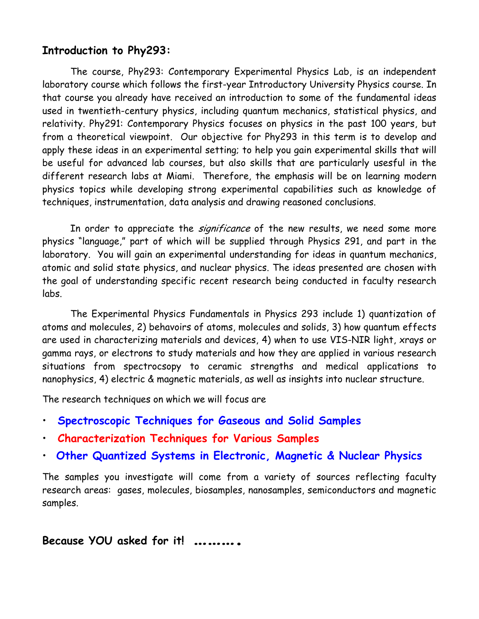## **Introduction to Phy293:**

 The course, Phy293: Contemporary Experimental Physics Lab, is an independent laboratory course which follows the first-year Introductory University Physics course. In that course you already have received an introduction to some of the fundamental ideas used in twentieth-century physics, including quantum mechanics, statistical physics, and relativity. Phy291: Contemporary Physics focuses on physics in the past 100 years, but from a theoretical viewpoint. Our objective for Phy293 in this term is to develop and apply these ideas in an experimental setting; to help you gain experimental skills that will be useful for advanced lab courses, but also skills that are particularly usesful in the different research labs at Miami. Therefore, the emphasis will be on learning modern physics topics while developing strong experimental capabilities such as knowledge of techniques, instrumentation, data analysis and drawing reasoned conclusions.

In order to appreciate the *significance* of the new results, we need some more physics "language," part of which will be supplied through Physics 291, and part in the laboratory. You will gain an experimental understanding for ideas in quantum mechanics, atomic and solid state physics, and nuclear physics. The ideas presented are chosen with the goal of understanding specific recent research being conducted in faculty research labs.

 The Experimental Physics Fundamentals in Physics 293 include 1) quantization of atoms and molecules, 2) behavoirs of atoms, molecules and solids, 3) how quantum effects are used in characterizing materials and devices, 4) when to use VIS-NIR light, xrays or gamma rays, or electrons to study materials and how they are applied in various research situations from spectrocsopy to ceramic strengths and medical applications to nanophysics, 4) electric & magnetic materials, as well as insights into nuclear structure.

The research techniques on which we will focus are

- **Spectroscopic Techniques for Gaseous and Solid Samples**
- **Characterization Techniques for Various Samples**
- **Other Quantized Systems in Electronic, Magnetic & Nuclear Physics**

The samples you investigate will come from a variety of sources reflecting faculty research areas: gases, molecules, biosamples, nanosamples, semiconductors and magnetic samples.

**Because YOU asked for it! ……….**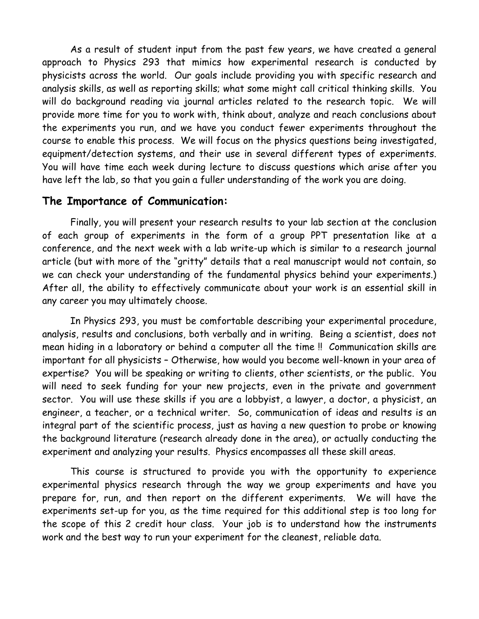As a result of student input from the past few years, we have created a general approach to Physics 293 that mimics how experimental research is conducted by physicists across the world. Our goals include providing you with specific research and analysis skills, as well as reporting skills; what some might call critical thinking skills. You will do background reading via journal articles related to the research topic. We will provide more time for you to work with, think about, analyze and reach conclusions about the experiments you run, and we have you conduct fewer experiments throughout the course to enable this process. We will focus on the physics questions being investigated, equipment/detection systems, and their use in several different types of experiments. You will have time each week during lecture to discuss questions which arise after you have left the lab, so that you gain a fuller understanding of the work you are doing.

#### **The Importance of Communication:**

 Finally, you will present your research results to your lab section at the conclusion of each group of experiments in the form of a group PPT presentation like at a conference, and the next week with a lab write-up which is similar to a research journal article (but with more of the "gritty" details that a real manuscript would not contain, so we can check your understanding of the fundamental physics behind your experiments.) After all, the ability to effectively communicate about your work is an essential skill in any career you may ultimately choose.

 In Physics 293, you must be comfortable describing your experimental procedure, analysis, results and conclusions, both verbally and in writing. Being a scientist, does not mean hiding in a laboratory or behind a computer all the time !! Communication skills are important for all physicists – Otherwise, how would you become well-known in your area of expertise? You will be speaking or writing to clients, other scientists, or the public. You will need to seek funding for your new projects, even in the private and government sector. You will use these skills if you are a lobbyist, a lawyer, a doctor, a physicist, an engineer, a teacher, or a technical writer. So, communication of ideas and results is an integral part of the scientific process, just as having a new question to probe or knowing the background literature (research already done in the area), or actually conducting the experiment and analyzing your results. Physics encompasses all these skill areas.

This course is structured to provide you with the opportunity to experience experimental physics research through the way we group experiments and have you prepare for, run, and then report on the different experiments. We will have the experiments set-up for you, as the time required for this additional step is too long for the scope of this 2 credit hour class. Your job is to understand how the instruments work and the best way to run your experiment for the cleanest, reliable data.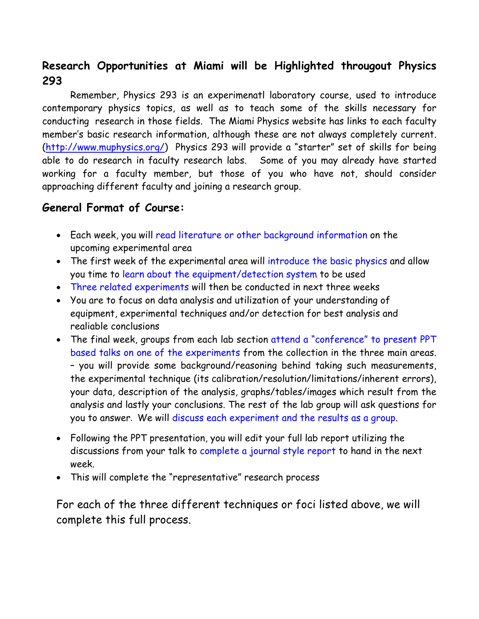# **Research Opportunities at Miami will be Highlighted througout Physics 293**

 Remember, Physics 293 is an experimenatl laboratory course, used to introduce contemporary physics topics, as well as to teach some of the skills necessary for conducting research in those fields. The Miami Physics website has links to each faculty member's basic research information, although these are not always completely current. (http://www.muphysics.org/) Physics 293 will provide a "starter" set of skills for being able to do research in faculty research labs. Some of you may already have started working for a faculty member, but those of you who have not, should consider approaching different faculty and joining a research group.

## **General Format of Course:**

- Each week, you will read literature or other background information on the upcoming experimental area
- The first week of the experimental area will introduce the basic physics and allow you time to learn about the equipment/detection system to be used
- Three related experiments will then be conducted in next three weeks
- You are to focus on data analysis and utilization of your understanding of equipment, experimental techniques and/or detection for best analysis and realiable conclusions
- The final week, groups from each lab section attend a "conference" to present PPT based talks on one of the experiments from the collection in the three main areas. – you will provide some background/reasoning behind taking such measurements, the experimental technique (its calibration/resolution/limitations/inherent errors), your data, description of the analysis, graphs/tables/images which result from the analysis and lastly your conclusions. The rest of the lab group will ask questions for you to answer. We will discuss each experiment and the results as a group.
- Following the PPT presentation, you will edit your full lab report utilizing the discussions from your talk to complete a journal style report to hand in the next week.
- This will complete the "representative" research process

For each of the three different techniques or foci listed above, we will complete this full process.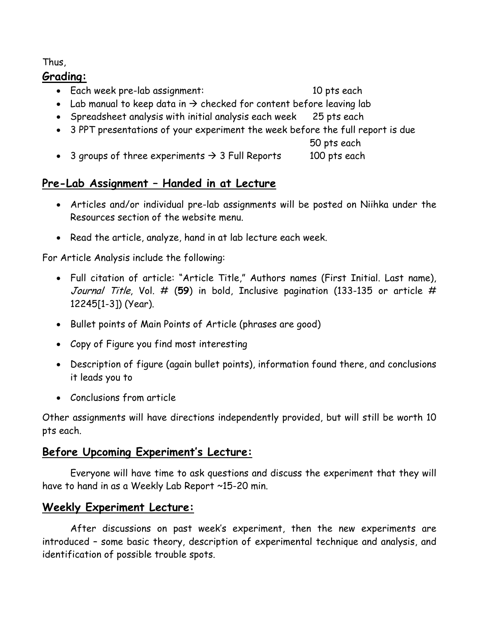Thus,

## **Grading:**

- Each week pre-lab assignment: 10 pts each
- Lab manual to keep data in  $\rightarrow$  checked for content before leaving lab
- Spreadsheet analysis with initial analysis each week 25 pts each
- 3 PPT presentations of your experiment the week before the full report is due

50 pts each

• 3 groups of three experiments  $\rightarrow$  3 Full Reports 100 pts each

## **Pre-Lab Assignment – Handed in at Lecture**

- Articles and/or individual pre-lab assignments will be posted on Niihka under the Resources section of the website menu.
- Read the article, analyze, hand in at lab lecture each week.

For Article Analysis include the following:

- Full citation of article: "Article Title," Authors names (First Initial. Last name), Journal Title, Vol. # (**59**) in bold, Inclusive pagination (133-135 or article # 12245[1-3]) (Year).
- Bullet points of Main Points of Article (phrases are good)
- Copy of Figure you find most interesting
- Description of figure (again bullet points), information found there, and conclusions it leads you to
- Conclusions from article

Other assignments will have directions independently provided, but will still be worth 10 pts each.

## **Before Upcoming Experiment's Lecture:**

 Everyone will have time to ask questions and discuss the experiment that they will have to hand in as a Weekly Lab Report ~15-20 min.

## **Weekly Experiment Lecture:**

 After discussions on past week's experiment, then the new experiments are introduced – some basic theory, description of experimental technique and analysis, and identification of possible trouble spots.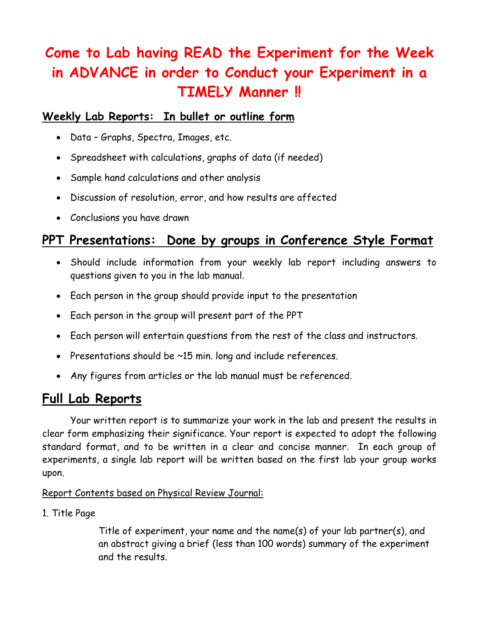# **Come to Lab having READ the Experiment for the Week in ADVANCE in order to Conduct your Experiment in a TIMELY Manner !!**

## **Weekly Lab Reports: In bullet or outline form**

- Data Graphs, Spectra, Images, etc.
- Spreadsheet with calculations, graphs of data (if needed)
- Sample hand calculations and other analysis
- Discussion of resolution, error, and how results are affected
- Conclusions you have drawn

# **PPT Presentations: Done by groups in Conference Style Format**

- Should include information from your weekly lab report including answers to questions given to you in the lab manual.
- Each person in the group should provide input to the presentation
- Each person in the group will present part of the PPT
- Each person will entertain questions from the rest of the class and instructors.
- Presentations should be ~15 min. long and include references.
- Any figures from articles or the lab manual must be referenced.

# **Full Lab Reports**

 Your written report is to summarize your work in the lab and present the results in clear form emphasizing their significance. Your report is expected to adopt the following standard format, and to be written in a clear and concise manner. In each group of experiments, a single lab report will be written based on the first lab your group works upon.

#### Report Contents based on Physical Review Journal:

1. Title Page

 Title of experiment, your name and the name(s) of your lab partner(s), and an abstract giving a brief (less than 100 words) summary of the experiment and the results.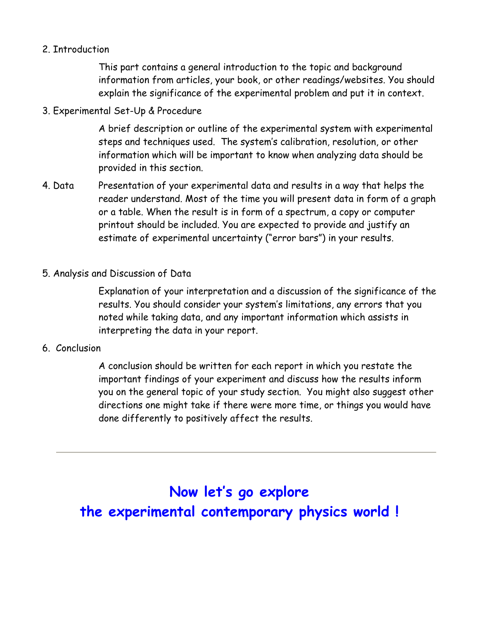#### 2. Introduction

 This part contains a general introduction to the topic and background information from articles, your book, or other readings/websites. You should explain the significance of the experimental problem and put it in context.

3. Experimental Set-Up & Procedure

 A brief description or outline of the experimental system with experimental steps and techniques used. The system's calibration, resolution, or other information which will be important to know when analyzing data should be provided in this section.

- 4. Data Presentation of your experimental data and results in a way that helps the reader understand. Most of the time you will present data in form of a graph or a table. When the result is in form of a spectrum, a copy or computer printout should be included. You are expected to provide and justify an estimate of experimental uncertainty ("error bars") in your results.
- 5. Analysis and Discussion of Data

 Explanation of your interpretation and a discussion of the significance of the results. You should consider your system's limitations, any errors that you noted while taking data, and any important information which assists in interpreting the data in your report.

#### 6. Conclusion

 A conclusion should be written for each report in which you restate the important findings of your experiment and discuss how the results inform you on the general topic of your study section. You might also suggest other directions one might take if there were more time, or things you would have done differently to positively affect the results.

**Now let's go explore the experimental contemporary physics world !**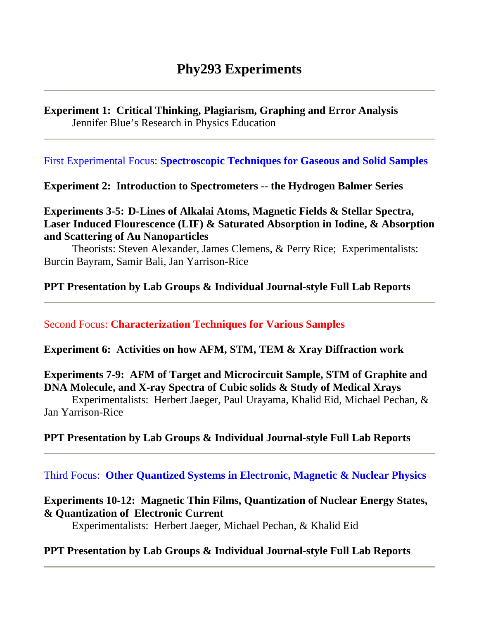**Experiment 1: Critical Thinking, Plagiarism, Graphing and Error Analysis**  Jennifer Blue's Research in Physics Education

First Experimental Focus: **Spectroscopic Techniques for Gaseous and Solid Samples**

**Experiment 2: Introduction to Spectrometers -- the Hydrogen Balmer Series**

**Experiments 3-5: D-Lines of Alkalai Atoms, Magnetic Fields & Stellar Spectra, Laser Induced Flourescence (LIF) & Saturated Absorption in Iodine, & Absorption and Scattering of Au Nanoparticles** 

 Theorists: Steven Alexander, James Clemens, & Perry Rice; Experimentalists: Burcin Bayram, Samir Bali, Jan Yarrison-Rice

**PPT Presentation by Lab Groups & Individual Journal-style Full Lab Reports** 

Second Focus: **Characterization Techniques for Various Samples** 

**Experiment 6: Activities on how AFM, STM, TEM & Xray Diffraction work** 

**Experiments 7-9: AFM of Target and Microcircuit Sample, STM of Graphite and DNA Molecule, and X-ray Spectra of Cubic solids & Study of Medical Xrays** 

 Experimentalists: Herbert Jaeger, Paul Urayama, Khalid Eid, Michael Pechan, & Jan Yarrison-Rice

**PPT Presentation by Lab Groups & Individual Journal-style Full Lab Reports** 

Third Focus: **Other Quantized Systems in Electronic, Magnetic & Nuclear Physics** 

#### **Experiments 10-12: Magnetic Thin Films, Quantization of Nuclear Energy States, & Quantization of Electronic Current**

Experimentalists: Herbert Jaeger, Michael Pechan, & Khalid Eid

#### **PPT Presentation by Lab Groups & Individual Journal-style Full Lab Reports**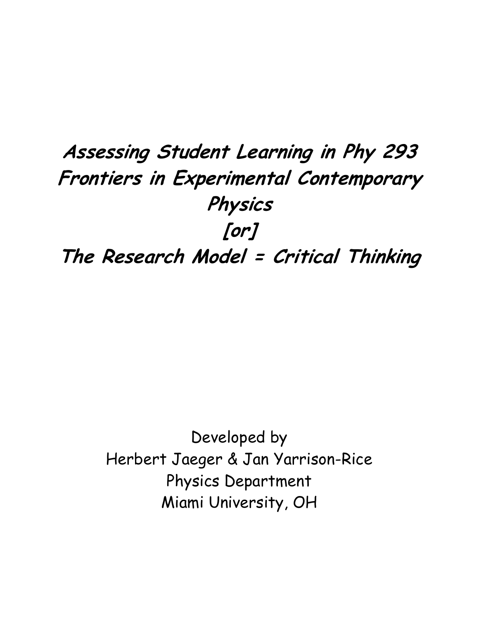# **Assessing Student Learning in Phy 293 Frontiers in Experimental Contemporary Physics [or] The Research Model = Critical Thinking**

Developed by Herbert Jaeger & Jan Yarrison-Rice Physics Department Miami University, OH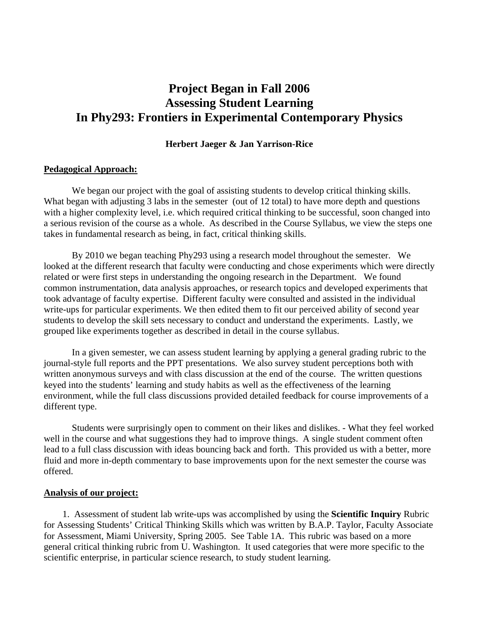# **Project Began in Fall 2006 Assessing Student Learning In Phy293: Frontiers in Experimental Contemporary Physics**

#### **Herbert Jaeger & Jan Yarrison-Rice**

#### **Pedagogical Approach:**

We began our project with the goal of assisting students to develop critical thinking skills. What began with adjusting 3 labs in the semester (out of 12 total) to have more depth and questions with a higher complexity level, i.e. which required critical thinking to be successful, soon changed into a serious revision of the course as a whole. As described in the Course Syllabus, we view the steps one takes in fundamental research as being, in fact, critical thinking skills.

 By 2010 we began teaching Phy293 using a research model throughout the semester. We looked at the different research that faculty were conducting and chose experiments which were directly related or were first steps in understanding the ongoing research in the Department. We found common instrumentation, data analysis approaches, or research topics and developed experiments that took advantage of faculty expertise. Different faculty were consulted and assisted in the individual write-ups for particular experiments. We then edited them to fit our perceived ability of second year students to develop the skill sets necessary to conduct and understand the experiments. Lastly, we grouped like experiments together as described in detail in the course syllabus.

 In a given semester, we can assess student learning by applying a general grading rubric to the journal-style full reports and the PPT presentations. We also survey student perceptions both with written anonymous surveys and with class discussion at the end of the course. The written questions keyed into the students' learning and study habits as well as the effectiveness of the learning environment, while the full class discussions provided detailed feedback for course improvements of a different type.

 Students were surprisingly open to comment on their likes and dislikes. - What they feel worked well in the course and what suggestions they had to improve things. A single student comment often lead to a full class discussion with ideas bouncing back and forth. This provided us with a better, more fluid and more in-depth commentary to base improvements upon for the next semester the course was offered.

#### **Analysis of our project:**

 1. Assessment of student lab write-ups was accomplished by using the **Scientific Inquiry** Rubric for Assessing Students' Critical Thinking Skills which was written by B.A.P. Taylor, Faculty Associate for Assessment, Miami University, Spring 2005. See Table 1A. This rubric was based on a more general critical thinking rubric from U. Washington. It used categories that were more specific to the scientific enterprise, in particular science research, to study student learning.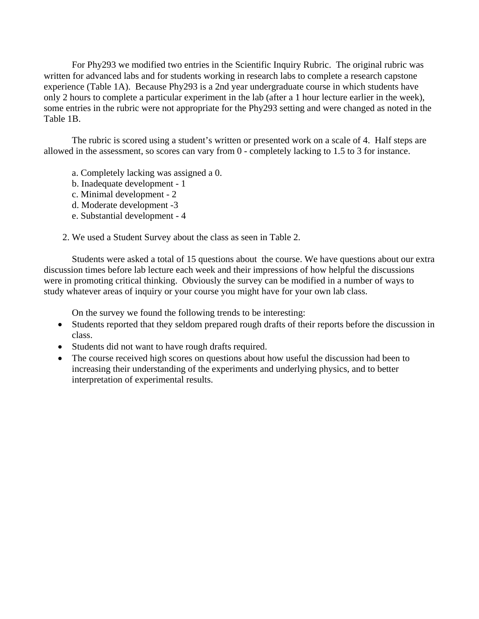For Phy293 we modified two entries in the Scientific Inquiry Rubric. The original rubric was written for advanced labs and for students working in research labs to complete a research capstone experience (Table 1A). Because Phy293 is a 2nd year undergraduate course in which students have only 2 hours to complete a particular experiment in the lab (after a 1 hour lecture earlier in the week), some entries in the rubric were not appropriate for the Phy293 setting and were changed as noted in the Table 1B.

 The rubric is scored using a student's written or presented work on a scale of 4. Half steps are allowed in the assessment, so scores can vary from 0 - completely lacking to 1.5 to 3 for instance.

- a. Completely lacking was assigned a 0.
- b. Inadequate development 1
- c. Minimal development 2
- d. Moderate development -3
- e. Substantial development 4
- 2. We used a Student Survey about the class as seen in Table 2.

 Students were asked a total of 15 questions about the course. We have questions about our extra discussion times before lab lecture each week and their impressions of how helpful the discussions were in promoting critical thinking. Obviously the survey can be modified in a number of ways to study whatever areas of inquiry or your course you might have for your own lab class.

On the survey we found the following trends to be interesting:

- Students reported that they seldom prepared rough drafts of their reports before the discussion in class.
- Students did not want to have rough drafts required.
- The course received high scores on questions about how useful the discussion had been to increasing their understanding of the experiments and underlying physics, and to better interpretation of experimental results.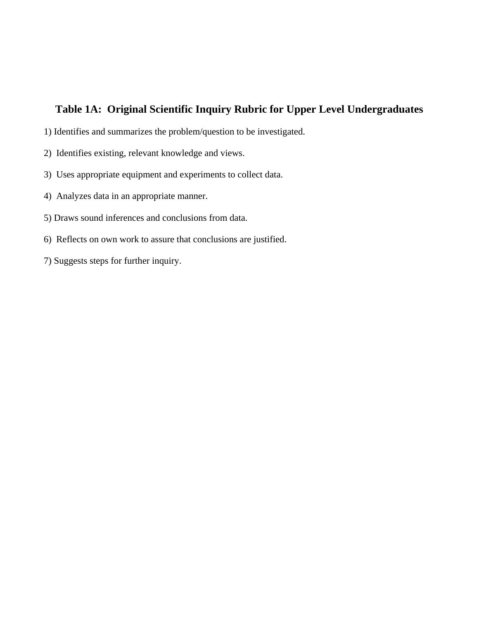#### **Table 1A: Original Scientific Inquiry Rubric for Upper Level Undergraduates**

- 1) Identifies and summarizes the problem/question to be investigated.
- 2) Identifies existing, relevant knowledge and views.
- 3) Uses appropriate equipment and experiments to collect data.
- 4) Analyzes data in an appropriate manner.
- 5) Draws sound inferences and conclusions from data.
- 6) Reflects on own work to assure that conclusions are justified.
- 7) Suggests steps for further inquiry.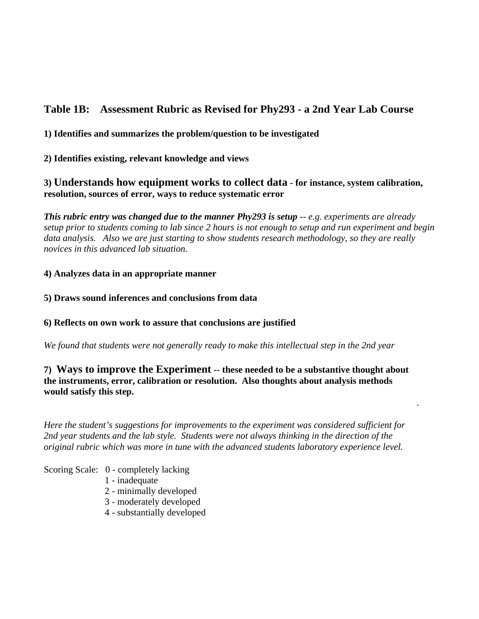## **Table 1B: Assessment Rubric as Revised for Phy293 - a 2nd Year Lab Course**

**1) Identifies and summarizes the problem/question to be investigated** 

**2) Identifies existing, relevant knowledge and views** 

#### **3) Understands how equipment works to collect data - for instance, system calibration, resolution, sources of error, ways to reduce systematic error**

*This rubric entry was changed due to the manner Phy293 is setup -- e.g. experiments are already setup prior to students coming to lab since 2 hours is not enough to setup and run experiment and begin data analysis. Also we are just starting to show students research methodology, so they are really novices in this advanced lab situation.* 

#### **4) Analyzes data in an appropriate manner**

#### **5) Draws sound inferences and conclusions from data**

#### **6) Reflects on own work to assure that conclusions are justified**

*We found that students were not generally ready to make this intellectual step in the 2nd year*

#### **7) Ways to improve the Experiment -- these needed to be a substantive thought about the instruments, error, calibration or resolution. Also thoughts about analysis methods would satisfy this step.**

.

*Here the student's suggestions for improvements to the experiment was considered sufficient for 2nd year students and the lab style. Students were not always thinking in the direction of the original rubric which was more in tune with the advanced students laboratory experience level.* 

Scoring Scale: 0 - completely lacking

- 1 inadequate
- 2 minimally developed
- 3 moderately developed
- 4 substantially developed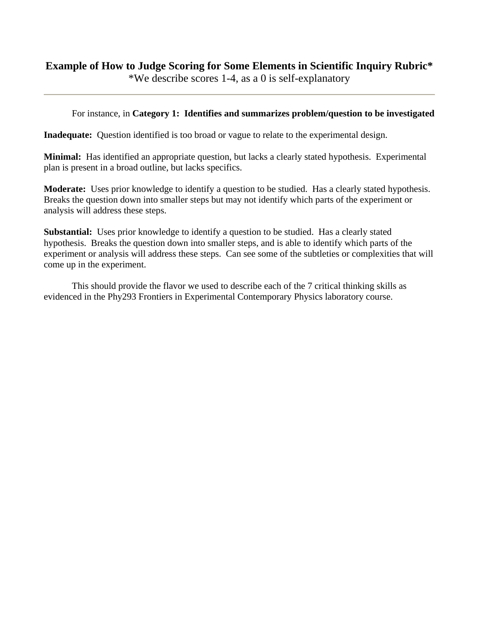#### For instance, in **Category 1: Identifies and summarizes problem/question to be investigated**

**Inadequate:** Question identified is too broad or vague to relate to the experimental design.

**Minimal:** Has identified an appropriate question, but lacks a clearly stated hypothesis. Experimental plan is present in a broad outline, but lacks specifics.

**Moderate:** Uses prior knowledge to identify a question to be studied. Has a clearly stated hypothesis. Breaks the question down into smaller steps but may not identify which parts of the experiment or analysis will address these steps.

**Substantial:** Uses prior knowledge to identify a question to be studied. Has a clearly stated hypothesis. Breaks the question down into smaller steps, and is able to identify which parts of the experiment or analysis will address these steps. Can see some of the subtleties or complexities that will come up in the experiment.

 This should provide the flavor we used to describe each of the 7 critical thinking skills as evidenced in the Phy293 Frontiers in Experimental Contemporary Physics laboratory course.